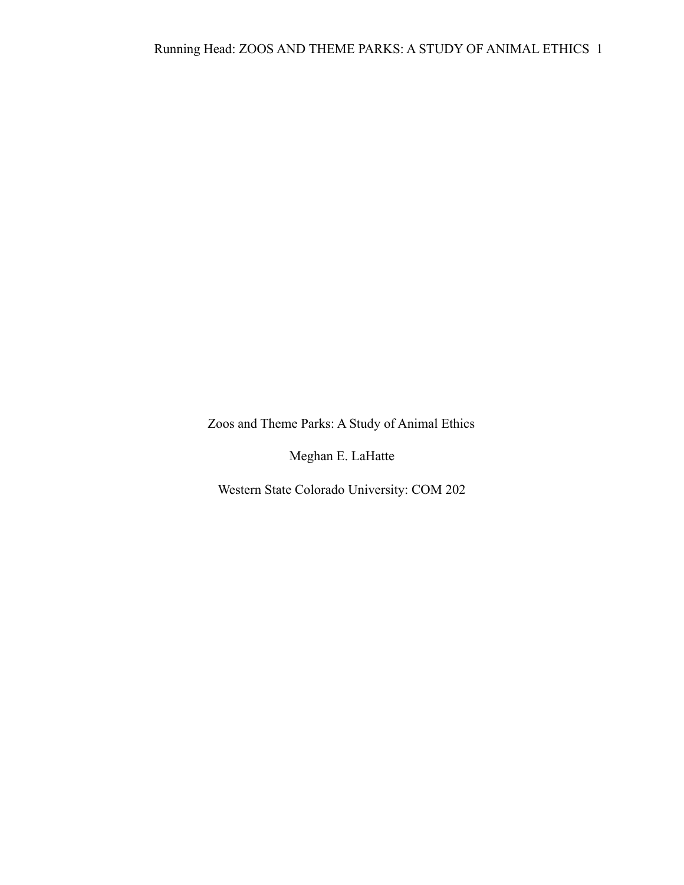Zoos and Theme Parks: A Study of Animal Ethics

Meghan E. LaHatte

Western State Colorado University: COM 202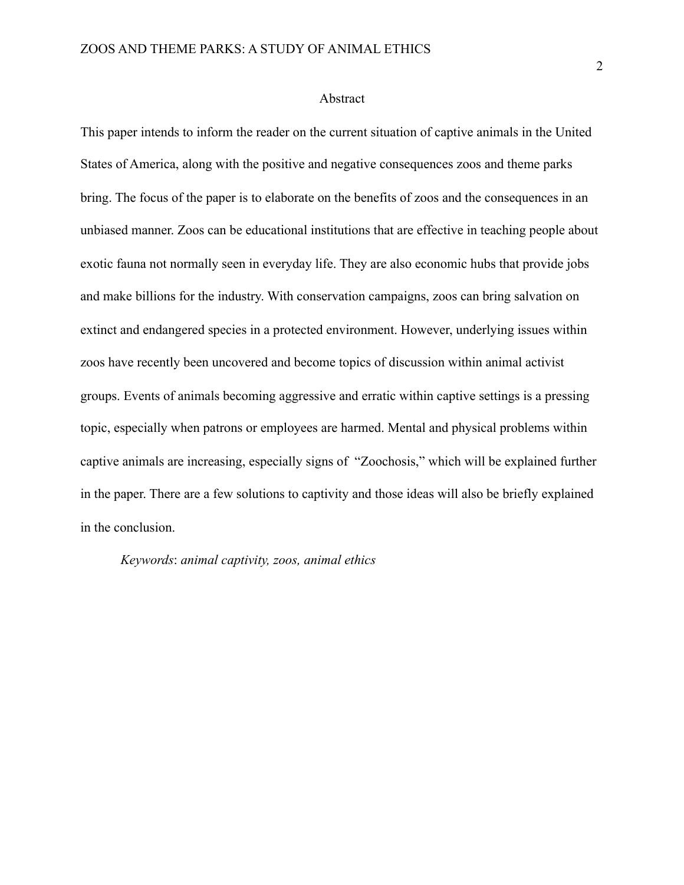#### Abstract

This paper intends to inform the reader on the current situation of captive animals in the United States of America, along with the positive and negative consequences zoos and theme parks bring. The focus of the paper is to elaborate on the benefits of zoos and the consequences in an unbiased manner. Zoos can be educational institutions that are effective in teaching people about exotic fauna not normally seen in everyday life. They are also economic hubs that provide jobs and make billions for the industry. With conservation campaigns, zoos can bring salvation on extinct and endangered species in a protected environment. However, underlying issues within zoos have recently been uncovered and become topics of discussion within animal activist groups. Events of animals becoming aggressive and erratic within captive settings is a pressing topic, especially when patrons or employees are harmed. Mental and physical problems within captive animals are increasing, especially signs of "Zoochosis," which will be explained further in the paper. There are a few solutions to captivity and those ideas will also be briefly explained in the conclusion.

*Keywords*: *animal captivity, zoos, animal ethics*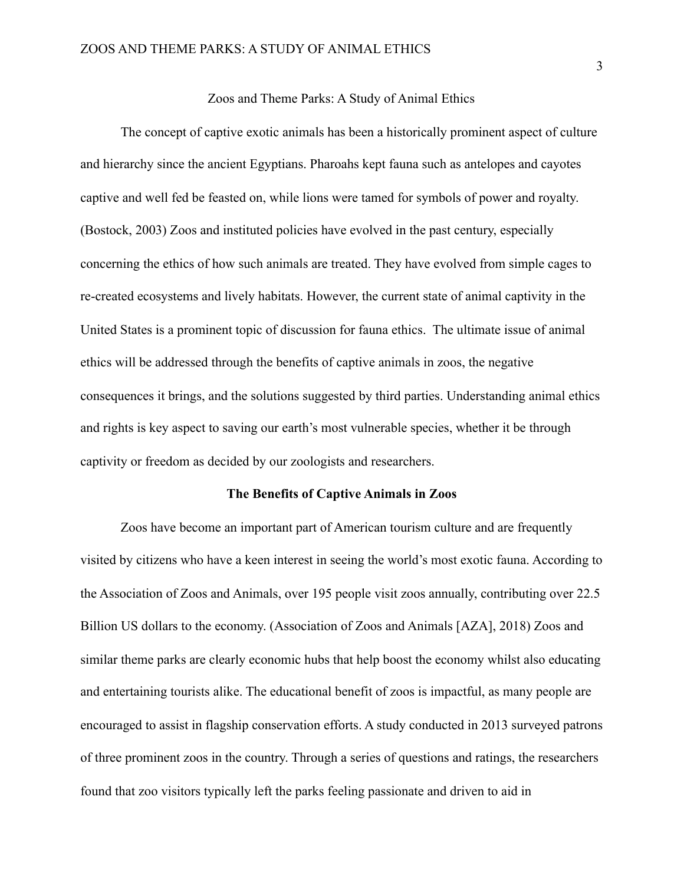## Zoos and Theme Parks: A Study of Animal Ethics

The concept of captive exotic animals has been a historically prominent aspect of culture and hierarchy since the ancient Egyptians. Pharoahs kept fauna such as antelopes and cayotes captive and well fed be feasted on, while lions were tamed for symbols of power and royalty. (Bostock, 2003) Zoos and instituted policies have evolved in the past century, especially concerning the ethics of how such animals are treated. They have evolved from simple cages to re-created ecosystems and lively habitats. However, the current state of animal captivity in the United States is a prominent topic of discussion for fauna ethics. The ultimate issue of animal ethics will be addressed through the benefits of captive animals in zoos, the negative consequences it brings, and the solutions suggested by third parties. Understanding animal ethics and rights is key aspect to saving our earth's most vulnerable species, whether it be through captivity or freedom as decided by our zoologists and researchers.

# **The Benefits of Captive Animals in Zoos**

Zoos have become an important part of American tourism culture and are frequently visited by citizens who have a keen interest in seeing the world's most exotic fauna. According to the Association of Zoos and Animals, over 195 people visit zoos annually, contributing over 22.5 Billion US dollars to the economy. (Association of Zoos and Animals [AZA], 2018) Zoos and similar theme parks are clearly economic hubs that help boost the economy whilst also educating and entertaining tourists alike. The educational benefit of zoos is impactful, as many people are encouraged to assist in flagship conservation efforts. A study conducted in 2013 surveyed patrons of three prominent zoos in the country. Through a series of questions and ratings, the researchers found that zoo visitors typically left the parks feeling passionate and driven to aid in

3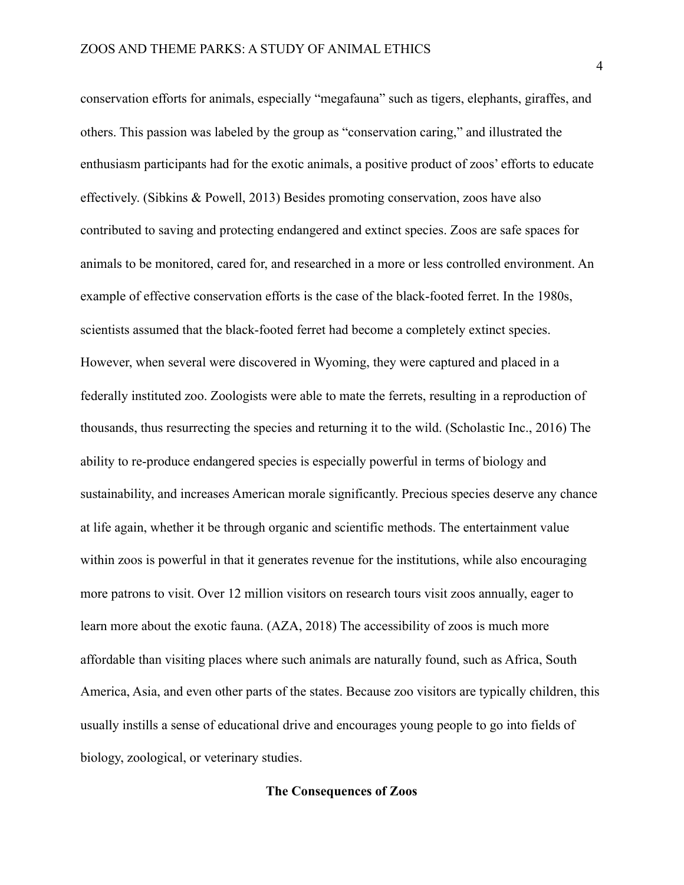conservation efforts for animals, especially "megafauna" such as tigers, elephants, giraffes, and others. This passion was labeled by the group as "conservation caring," and illustrated the enthusiasm participants had for the exotic animals, a positive product of zoos' efforts to educate effectively. (Sibkins & Powell, 2013) Besides promoting conservation, zoos have also contributed to saving and protecting endangered and extinct species. Zoos are safe spaces for animals to be monitored, cared for, and researched in a more or less controlled environment. An example of effective conservation efforts is the case of the black-footed ferret. In the 1980s, scientists assumed that the black-footed ferret had become a completely extinct species. However, when several were discovered in Wyoming, they were captured and placed in a federally instituted zoo. Zoologists were able to mate the ferrets, resulting in a reproduction of thousands, thus resurrecting the species and returning it to the wild. (Scholastic Inc., 2016) The ability to re-produce endangered species is especially powerful in terms of biology and sustainability, and increases American morale significantly. Precious species deserve any chance at life again, whether it be through organic and scientific methods. The entertainment value within zoos is powerful in that it generates revenue for the institutions, while also encouraging more patrons to visit. Over 12 million visitors on research tours visit zoos annually, eager to learn more about the exotic fauna. (AZA, 2018) The accessibility of zoos is much more affordable than visiting places where such animals are naturally found, such as Africa, South America, Asia, and even other parts of the states. Because zoo visitors are typically children, this usually instills a sense of educational drive and encourages young people to go into fields of biology, zoological, or veterinary studies.

#### **The Consequences of Zoos**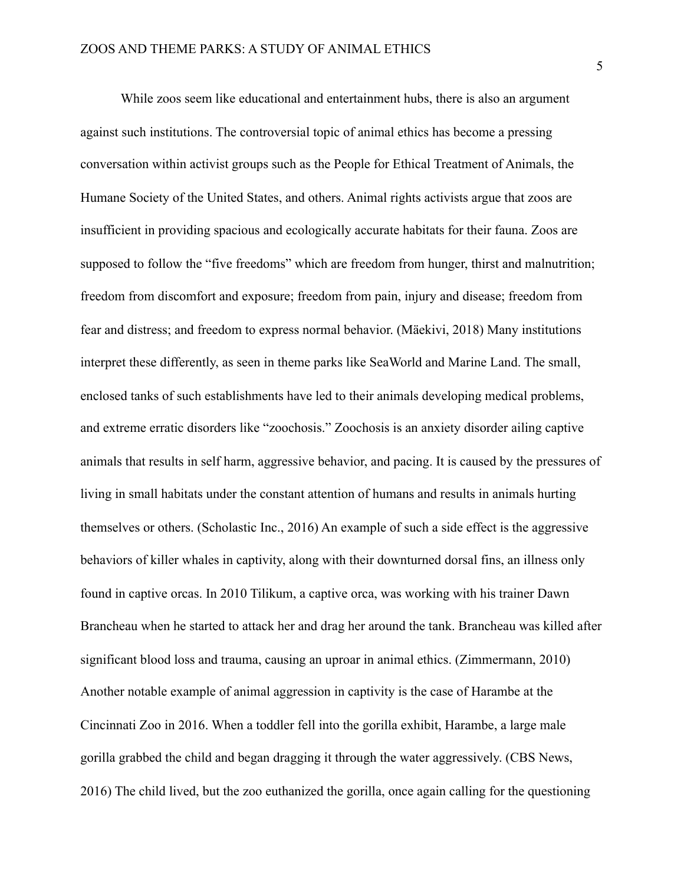While zoos seem like educational and entertainment hubs, there is also an argument against such institutions. The controversial topic of animal ethics has become a pressing conversation within activist groups such as the People for Ethical Treatment of Animals, the Humane Society of the United States, and others. Animal rights activists argue that zoos are insufficient in providing spacious and ecologically accurate habitats for their fauna. Zoos are supposed to follow the "five freedoms" which are freedom from hunger, thirst and malnutrition; freedom from discomfort and exposure; freedom from pain, injury and disease; freedom from fear and distress; and freedom to express normal behavior. (Mäekivi, 2018) Many institutions interpret these differently, as seen in theme parks like SeaWorld and Marine Land. The small, enclosed tanks of such establishments have led to their animals developing medical problems, and extreme erratic disorders like "zoochosis." Zoochosis is an anxiety disorder ailing captive animals that results in self harm, aggressive behavior, and pacing. It is caused by the pressures of living in small habitats under the constant attention of humans and results in animals hurting themselves or others. (Scholastic Inc., 2016) An example of such a side effect is the aggressive behaviors of killer whales in captivity, along with their downturned dorsal fins, an illness only found in captive orcas. In 2010 Tilikum, a captive orca, was working with his trainer Dawn Brancheau when he started to attack her and drag her around the tank. Brancheau was killed after significant blood loss and trauma, causing an uproar in animal ethics. (Zimmermann, 2010) Another notable example of animal aggression in captivity is the case of Harambe at the Cincinnati Zoo in 2016. When a toddler fell into the gorilla exhibit, Harambe, a large male gorilla grabbed the child and began dragging it through the water aggressively. (CBS News, 2016) The child lived, but the zoo euthanized the gorilla, once again calling for the questioning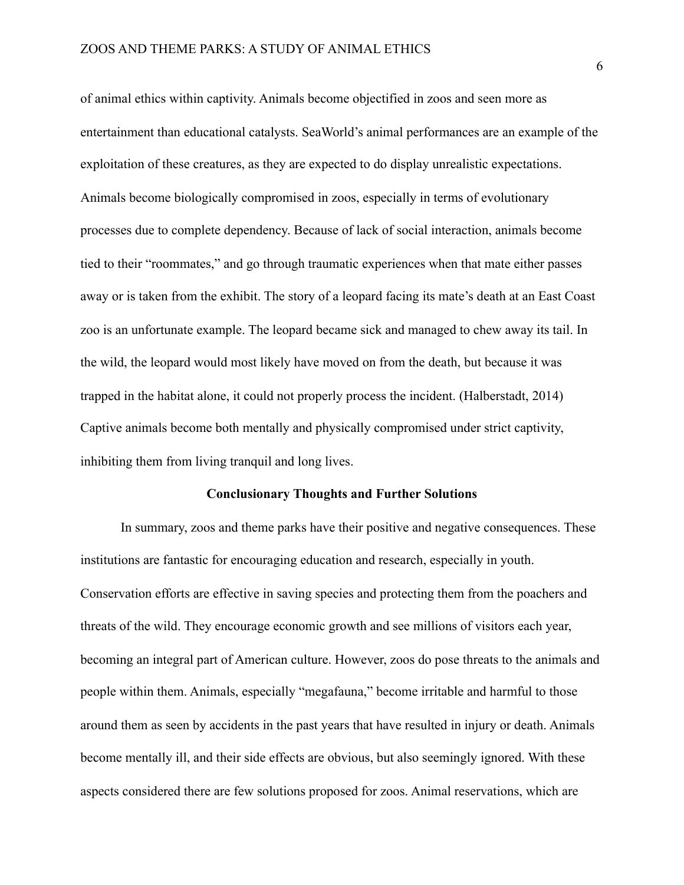of animal ethics within captivity. Animals become objectified in zoos and seen more as entertainment than educational catalysts. SeaWorld's animal performances are an example of the exploitation of these creatures, as they are expected to do display unrealistic expectations. Animals become biologically compromised in zoos, especially in terms of evolutionary processes due to complete dependency. Because of lack of social interaction, animals become tied to their "roommates," and go through traumatic experiences when that mate either passes away or is taken from the exhibit. The story of a leopard facing its mate's death at an East Coast zoo is an unfortunate example. The leopard became sick and managed to chew away its tail. In the wild, the leopard would most likely have moved on from the death, but because it was trapped in the habitat alone, it could not properly process the incident. (Halberstadt, 2014) Captive animals become both mentally and physically compromised under strict captivity, inhibiting them from living tranquil and long lives.

#### **Conclusionary Thoughts and Further Solutions**

In summary, zoos and theme parks have their positive and negative consequences. These institutions are fantastic for encouraging education and research, especially in youth. Conservation efforts are effective in saving species and protecting them from the poachers and threats of the wild. They encourage economic growth and see millions of visitors each year, becoming an integral part of American culture. However, zoos do pose threats to the animals and people within them. Animals, especially "megafauna," become irritable and harmful to those around them as seen by accidents in the past years that have resulted in injury or death. Animals become mentally ill, and their side effects are obvious, but also seemingly ignored. With these aspects considered there are few solutions proposed for zoos. Animal reservations, which are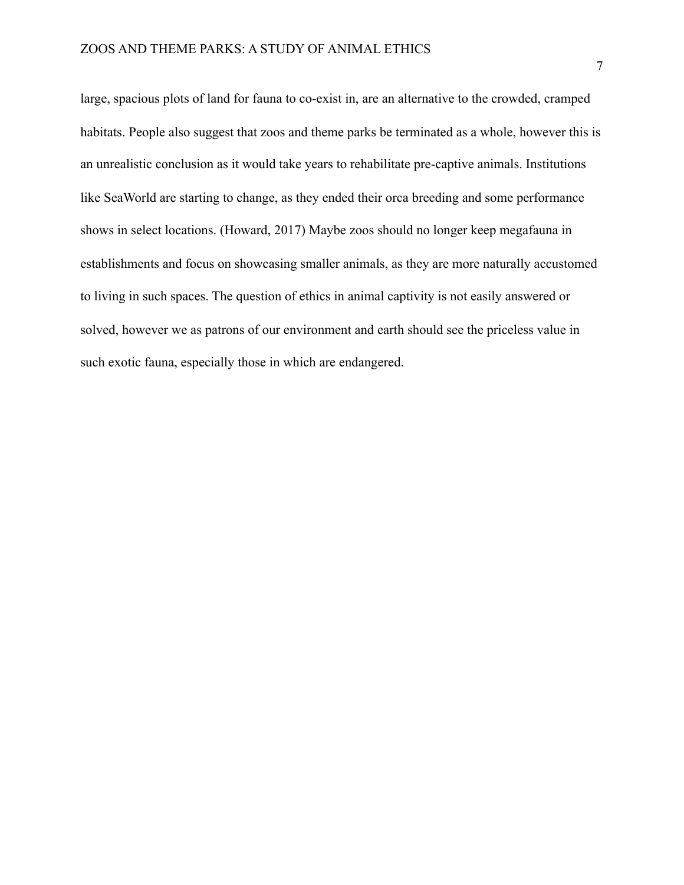large, spacious plots of land for fauna to co-exist in, are an alternative to the crowded, cramped habitats. People also suggest that zoos and theme parks be terminated as a whole, however this is an unrealistic conclusion as it would take years to rehabilitate pre-captive animals. Institutions like SeaWorld are starting to change, as they ended their orca breeding and some performance shows in select locations. (Howard, 2017) Maybe zoos should no longer keep megafauna in establishments and focus on showcasing smaller animals, as they are more naturally accustomed to living in such spaces. The question of ethics in animal captivity is not easily answered or solved, however we as patrons of our environment and earth should see the priceless value in such exotic fauna, especially those in which are endangered.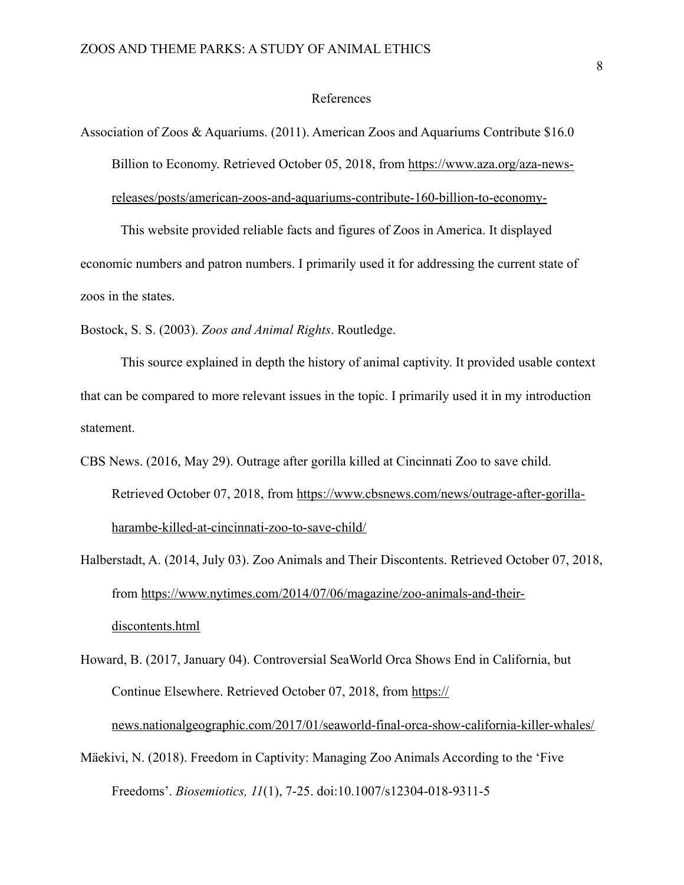## References

```
Association of Zoos & Aquariums. (2011). American Zoos and Aquariums Contribute $16.0 
Billion to Economy. Retrieved October 05, 2018, from https://www.aza.org/aza-news-
releases/posts/american-zoos-and-aquariums-contribute-160-billion-to-economy-
```
This website provided reliable facts and figures of Zoos in America. It displayed economic numbers and patron numbers. I primarily used it for addressing the current state of zoos in the states.

Bostock, S. S. (2003). *Zoos and Animal Rights*. Routledge.

This source explained in depth the history of animal captivity. It provided usable context that can be compared to more relevant issues in the topic. I primarily used it in my introduction statement.

CBS News. (2016, May 29). Outrage after gorilla killed at Cincinnati Zoo to save child. Retrieved October 07, 2018, from [https://www.cbsnews.com/news/outrage-after-gorilla](https://www.cbsnews.com/news/outrage-after-gorilla-harambe-killed-at-cincinnati-zoo-to-save-child/)[harambe-killed-at-cincinnati-zoo-to-save-child/](https://www.cbsnews.com/news/outrage-after-gorilla-harambe-killed-at-cincinnati-zoo-to-save-child/)

Halberstadt, A. (2014, July 03). Zoo Animals and Their Discontents. Retrieved October 07, 2018, from [https://www.nytimes.com/2014/07/06/magazine/zoo-animals-and-their](https://www.nytimes.com/2014/07/06/magazine/zoo-animals-and-their-discontents.html)[discontents.html](https://www.nytimes.com/2014/07/06/magazine/zoo-animals-and-their-discontents.html)

Howard, B. (2017, January 04). Controversial SeaWorld Orca Shows End in California, but Continue Elsewhere. Retrieved October 07, 2018, from [https://](https://news.nationalgeographic.com/2017/01/seaworld-final-orca-show-california-killer-whales/) [news.nationalgeographic.com/2017/01/seaworld-final-orca-show-california-killer-whales/](https://news.nationalgeographic.com/2017/01/seaworld-final-orca-show-california-killer-whales/)

Mäekivi, N. (2018). Freedom in Captivity: Managing Zoo Animals According to the 'Five Freedoms'. *Biosemiotics, 11*(1), 7-25. doi:10.1007/s12304-018-9311-5